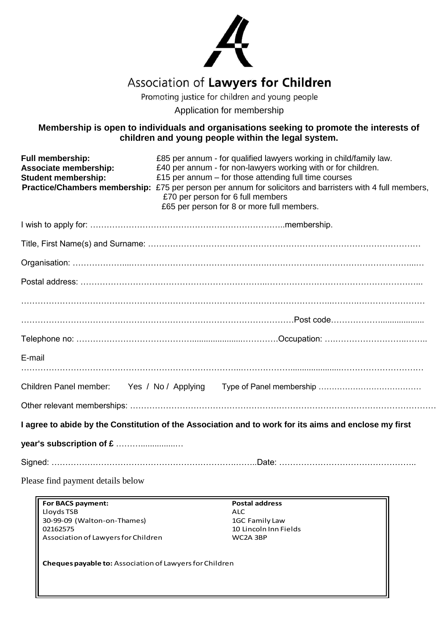

## Association of Lawyers for Children

Promoting justice for children and young people

Application for membership

### **Membership is open to individuals and organisations seeking to promote the interests of children and young people within the legal system.**

| Full membership:<br>Associate membership:<br><b>Student membership:</b> | £85 per annum - for qualified lawyers working in child/family law.<br>£40 per annum - for non-lawyers working with or for children.<br>£15 per annum $-$ for those attending full time courses<br>Practice/Chambers membership: £75 per person per annum for solicitors and barristers with 4 full members,<br>£70 per person for 6 full members<br>£65 per person for 8 or more full members. |
|-------------------------------------------------------------------------|------------------------------------------------------------------------------------------------------------------------------------------------------------------------------------------------------------------------------------------------------------------------------------------------------------------------------------------------------------------------------------------------|
|                                                                         |                                                                                                                                                                                                                                                                                                                                                                                                |
|                                                                         |                                                                                                                                                                                                                                                                                                                                                                                                |
|                                                                         |                                                                                                                                                                                                                                                                                                                                                                                                |
|                                                                         |                                                                                                                                                                                                                                                                                                                                                                                                |
|                                                                         |                                                                                                                                                                                                                                                                                                                                                                                                |
|                                                                         |                                                                                                                                                                                                                                                                                                                                                                                                |
|                                                                         |                                                                                                                                                                                                                                                                                                                                                                                                |
| E-mail                                                                  |                                                                                                                                                                                                                                                                                                                                                                                                |
| Children Panel member:                                                  | Yes / No / Applying                                                                                                                                                                                                                                                                                                                                                                            |
|                                                                         |                                                                                                                                                                                                                                                                                                                                                                                                |
|                                                                         | I agree to abide by the Constitution of the Association and to work for its aims and enclose my first                                                                                                                                                                                                                                                                                          |
| year's subscription of £                                                |                                                                                                                                                                                                                                                                                                                                                                                                |
|                                                                         |                                                                                                                                                                                                                                                                                                                                                                                                |
| Please find payment details below                                       |                                                                                                                                                                                                                                                                                                                                                                                                |

**For BACS payment: Postal address** Lloyds TSB ALC 30-99-09 (Walton-on-Thames)<br>02162575 Association of Lawyers for Children

10 Lincoln Inn Fields<br>WC2A 3BP

**Cheques payable to:** Association of Lawyers for Children